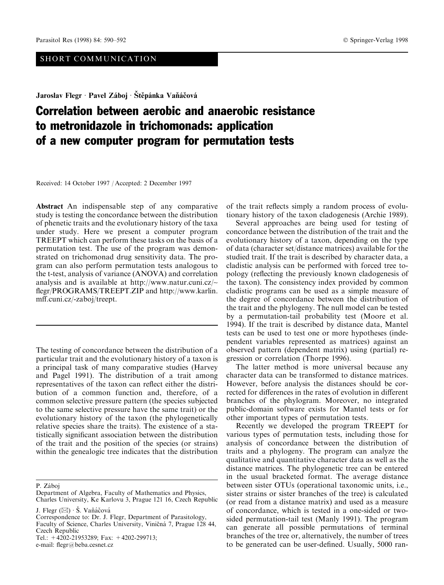## SHORT COMMUNICATION

Jaroslav Flegr · Pavel Záboj · Štěpánka Vaňáčová

## Correlation between aerobic and anaerobic resistance to metronidazole in trichomonads: application of a new computer program for permutation tests

Received: 14 October 1997 / Accepted: 2 December 1997

Abstract An indispensable step of any comparative study is testing the concordance between the distribution of phenetic traits and the evolutionary history of the taxa under study. Here we present a computer program TREEPT which can perform these tasks on the basis of a permutation test. The use of the program was demonstrated on trichomonad drug sensitivity data. The program can also perform permutation tests analogous to the t-test, analysis of variance (ANOVA) and correlation analysis and is available at http://www.natur.cuni.cz/~ flegr/PROGRAMS/TREEPT.ZIP and http://www.karlin. mff.cuni.cz/-zaboj/treept.

The testing of concordance between the distribution of a particular trait and the evolutionary history of a taxon is a principal task of many comparative studies (Harvey and Pagel 1991). The distribution of a trait among representatives of the taxon can reflect either the distribution of a common function and, therefore, of a common selective pressure pattern (the species subjected to the same selective pressure have the same trait) or the evolutionary history of the taxon (the phylogenetically relative species share the traits). The existence of a statistically significant association between the distribution of the trait and the position of the species (or strains) within the genealogic tree indicates that the distribution

P. Záboj

J. Flegr  $(\boxtimes) \cdot \check{S}$ . Vaňáčová

Tel.: +4202-21953289; Fax: +4202-299713; e-mail: flegr@beba.cesnet.cz

of the trait reflects simply a random process of evolutionary history of the taxon cladogenesis (Archie 1989).

Several approaches are being used for testing of concordance between the distribution of the trait and the evolutionary history of a taxon, depending on the type of data (character set/distance matrices) available for the studied trait. If the trait is described by character data, a cladistic analysis can be performed with forced tree topology (reflecting the previously known cladogenesis of the taxon). The consistency index provided by common cladistic programs can be used as a simple measure of the degree of concordance between the distribution of the trait and the phylogeny. The null model can be tested by a permutation-tail probability test (Moore et al. 1994). If the trait is described by distance data, Mantel tests can be used to test one or more hypotheses (independent variables represented as matrices) against an observed pattern (dependent matrix) using (partial) regression or correlation (Thorpe 1996).

The latter method is more universal because any character data can be transformed to distance matrices. However, before analysis the distances should be corrected for differences in the rates of evolution in different branches of the phylogram. Moreover, no integrated public-domain software exists for Mantel tests or for other important types of permutation tests.

Recently we developed the program TREEPT for various types of permutation tests, including those for analysis of concordance between the distribution of traits and a phylogeny. The program can analyze the qualitative and quantitative character data as well as the distance matrices. The phylogenetic tree can be entered in the usual bracketed format. The average distance between sister OTUs (operational taxonomic units, i.e., sister strains or sister branches of the tree) is calculated (or read from a distance matrix) and used as a measure of concordance, which is tested in a one-sided or twosided permutation-tail test (Manly 1991). The program can generate all possible permutations of terminal branches of the tree or, alternatively, the number of trees to be generated can be user-defined. Usually, 5000 ran-

Department of Algebra, Faculty of Mathematics and Physics, Charles University, Ke Karlovu 3, Prague 121 16, Czech Republic

Correspondence to: Dr. J. Flegr, Department of Parasitology, Faculty of Science, Charles University, Viničná 7, Prague 128 44, Czech Republic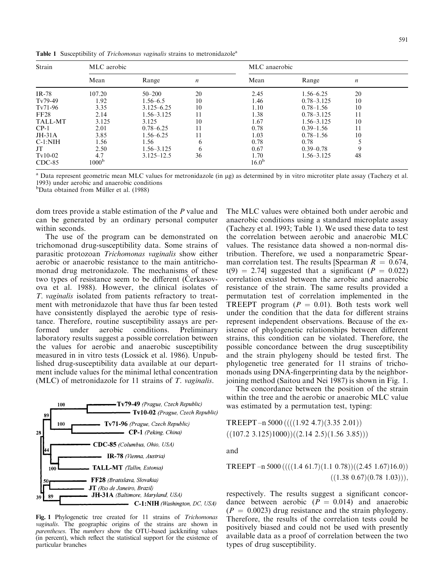Table 1 Susceptibility of *Trichomonas vaginalis* strains to metronidazole<sup>a</sup>

| Strain         | MLC aerobic       |                |                  | MLC anaerobic |                |                  |  |
|----------------|-------------------|----------------|------------------|---------------|----------------|------------------|--|
|                | Mean              | Range          | $\boldsymbol{n}$ | Mean          | Range          | $\boldsymbol{n}$ |  |
| $IR-78$        | 107.20            | $50 - 200$     | 20               | 2.45          | $1.56 - 6.25$  | 20               |  |
| $Tv79-49$      | 1.92              | $1.56 - 6.5$   | 10               | 1.46          | $0.78 - 3.125$ | 10               |  |
| Tv71-96        | 3.35              | $3.125 - 6.25$ | 10               | 1.10          | $0.78 - 1.56$  | 10               |  |
| FF28           | 2.14              | $1.56 - 3.125$ |                  | 1.38          | $0.78 - 3.125$ | 11               |  |
| <b>TALL-MT</b> | 3.125             | 3.125          | 10               | 1.67          | $1.56 - 3.125$ | 10               |  |
| $CP-1$         | 2.01              | $0.78 - 6.25$  |                  | 0.78          | $0.39 - 1.56$  | 11               |  |
| $JH-31A$       | 3.85              | $1.56 - 6.25$  |                  | 1.03          | $0.78 - 1.56$  | 10               |  |
| $C-1:NIH$      | 1.56              | 1.56           | <sub>(</sub>     | 0.78          | 0.78           |                  |  |
| JT             | 2.50              | $1.56 - 3.125$ | <sub>(</sub>     | 0.67          | $0.39 - 0.78$  |                  |  |
| $Tv10-02$      | 4.7               | $3.125 - 12.5$ | 36               | 1.70          | $1.56 - 3.125$ | 48               |  |
| $CDC-85$       | 1000 <sup>b</sup> |                |                  | $16.0^{b}$    |                |                  |  |

Data represent geometric mean MLC values for metronidazole (in µg) as determined by in vitro microtiter plate assay (Tachezy et al. 1993) under aerobic and anaerobic conditions

<sup>b</sup>Data obtained from Müller et al. (1988)

dom trees provide a stable estimation of the P value and can be generated by an ordinary personal computer within seconds.

The use of the program can be demonstrated on trichomonad drug-susceptibility data. Some strains of parasitic protozoan Trichomonas vaginalis show either aerobic or anaerobic resistance to the main antitrichomonad drug metronidazole. The mechanisms of these two types of resistance seem to be different (Cerkasovova et al. 1988). However, the clinical isolates of T. vaginalis isolated from patients refractory to treatment with metronidazole that have thus far been tested have consistently displayed the aerobic type of resistance. Therefore, routine susceptibility assays are performed under aerobic conditions. Preliminary laboratory results suggest a possible correlation between the values for aerobic and anaerobic susceptibility measured in in vitro tests (Lossick et al. 1986). Unpublished drug-susceptibility data available at our department include values for the minimal lethal concentration (MLC) of metronidazole for 11 strains of  $T$ . *vaginalis*.



Fig. 1 Phylogenetic tree created for 11 strains of Trichomonas vaginalis. The geographic origins of the strains are shown in parentheses. The numbers show the OTU-based jackknifing values (in percent), which reflect the statistical support for the existence of particular branches

The MLC values were obtained both under aerobic and anaerobic conditions using a standard microplate assay (Tachezy et al. 1993; Table 1). We used these data to test the correlation between aerobic and anaerobic MLC values. The resistance data showed a non-normal distribution. Therefore, we used a nonparametric Spearman correlation test. The results [Spearman  $R = 0.674$ ,  $t(9) = 2.74$ ] suggested that a significant ( $P = 0.022$ ) correlation existed between the aerobic and anaerobic resistance of the strain. The same results provided a permutation test of correlation implemented in the TREEPT program ( $P = 0.01$ ). Both tests work well under the condition that the data for different strains represent independent observations. Because of the existence of phylogenetic relationships between different strains, this condition can be violated. Therefore, the possible concordance between the drug susceptibility and the strain phylogeny should be tested first. The phylogenetic tree generated for 11 strains of trichomonads using DNA-fingerprinting data by the neighborjoining method (Saitou and Nei 1987) is shown in Fig. 1.

The concordance between the position of the strain within the tree and the aerobic or anaerobic MLC value was estimated by a permutation test, typing:

TREEPT -n 5000  $(((1.92 \ 4.7)(3.35 \ 2.01))$  $((107.2 \t3.125)1000)((2.14 \t2.5)(1.56 \t3.85)))$ 

and

TREEPT  $-n$  5000 ((((1.4 61.7)(1.1 0.78))((2.45 1.67)16.0))  $((1.38 \t0.67)(0.78 \t1.03))),$ 

respectively. The results suggest a significant concordance between aerobic  $(P = 0.014)$  and anaerobic  $(P = 0.0023)$  drug resistance and the strain phylogeny. Therefore, the results of the correlation tests could be positively biased and could not be used with presently available data as a proof of correlation between the two types of drug susceptibility.